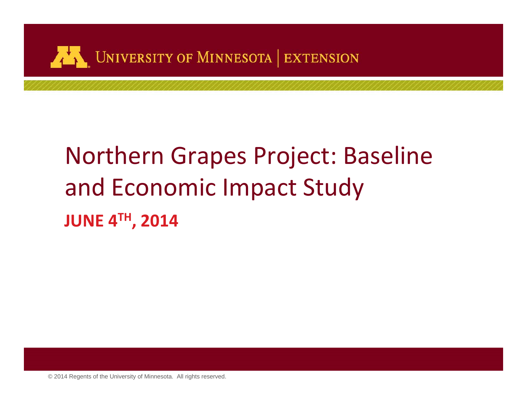

## Northern Grapes Project: Baseline and Economic Impact Study **JUNE 4TH, 2014**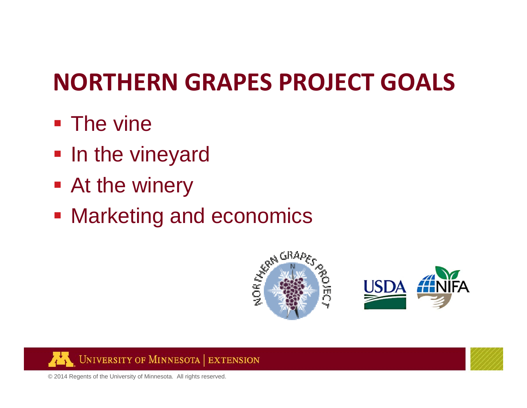### **NORTHERN GRAPES PROJECT GOALS**

- **The vine**
- **In the vineyard**
- **At the winery**
- **Marketing and economics**





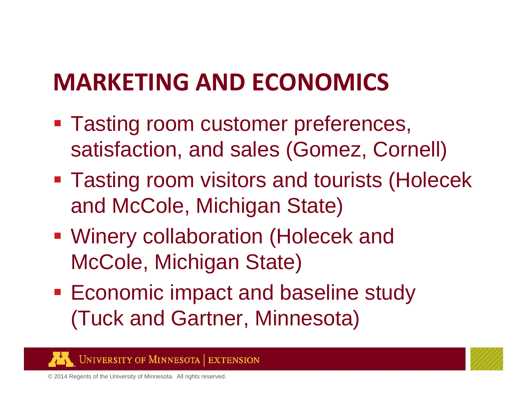### **MARKETING AND ECONOMICS**

- **Tasting room customer preferences,** satisfaction, and sales (Gomez, Cornell)
- **Tasting room visitors and tourists (Holecek** and McCole, Michigan State)
- Winery collaboration (Holecek and McCole, Michigan State)
- **Economic impact and baseline study** (Tuck and Gartner, Minnesota)



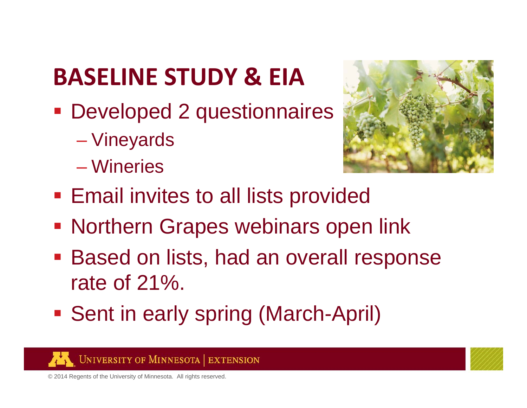# **BASELINE STUDY & EIA**

- Developed 2 questionnaires
	- Vineyards
	- Wineries



- **Email invites to all lists provided**
- **Northern Grapes webinars open link**
- **Based on lists, had an overall response** rate of 21%.
- **Sent in early spring (March-April)**



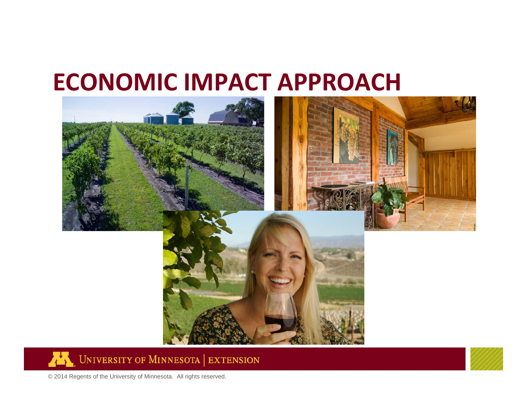#### **ECONOMIC IMPACT APPROACH**



UNIVERSITY OF MINNESOTA EXTENSION